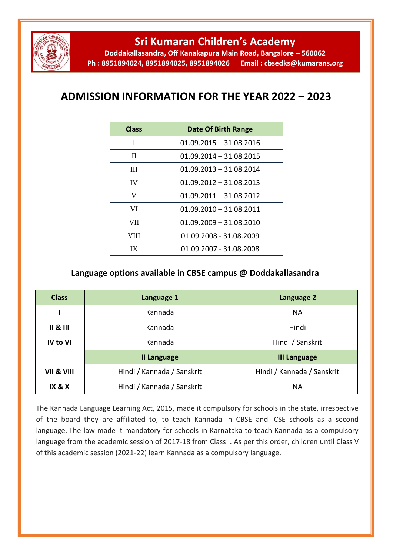

**Sri Kumaran Children's Academy**

**Doddakallasandra, Off Kanakapura Main Road, Bangalore – 560062 Ph : 8951894024, 8951894025, 8951894026 Email : cbsedks@kumarans.org**

## **ADMISSION INFORMATION FOR THE YEAR 2022 – 2023**

| <b>Class</b> | Date Of Birth Range       |
|--------------|---------------------------|
| I            | $01.09.2015 - 31.08.2016$ |
| П            | $01.09.2014 - 31.08.2015$ |
| Ш            | $01.09.2013 - 31.08.2014$ |
| <b>IV</b>    | $01.09.2012 - 31.08.2013$ |
| V            | $01.09.2011 - 31.08.2012$ |
| VI           | $01.09.2010 - 31.08.2011$ |
| VII          | $01.09.2009 - 31.08.2010$ |
| VIII         | 01.09.2008 - 31.08.2009   |
| IX           | 01.09.2007 - 31.08.2008   |

## **Language options available in CBSE campus @ Doddakallasandra**

| <b>Class</b>              | Language 1                 | Language 2                 |
|---------------------------|----------------------------|----------------------------|
|                           | Kannada                    | <b>NA</b>                  |
| $\parallel$ 8 $\parallel$ | Kannada                    | Hindi                      |
| <b>IV to VI</b>           | Kannada                    | Hindi / Sanskrit           |
|                           | <b>II Language</b>         | <b>III Language</b>        |
| VII & VIII                | Hindi / Kannada / Sanskrit | Hindi / Kannada / Sanskrit |
| <b>IX &amp; X</b>         | Hindi / Kannada / Sanskrit | <b>NA</b>                  |

The Kannada Language Learning Act, 2015, made it compulsory for schools in the state, irrespective of the board they are affiliated to, to teach Kannada in CBSE and ICSE schools as a second language. The law made it mandatory for schools in Karnataka to teach Kannada as a compulsory language from the academic session of 2017-18 from Class I. As per this order, children until Class V of this academic session (2021-22) learn Kannada as a compulsory language.